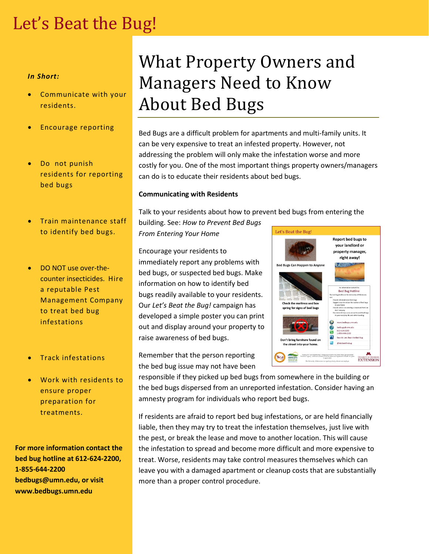## Let's Beat the Bug!

### *In Short:*

- Communicate with your residents.
- Encourage reporting
- Do not punish residents for reporting bed bugs
- Train maintenance staff to identify bed bugs.
- DO NOT use over-thecounter insecticides. Hire a reputable Pest Management Company to treat bed bug infestations
- Track infestations
- Work with residents to ensure proper preparation for treatments.

**For more information contact the bed bug hotline at 612-624-2200, 1-855-644-2200 bedbugs@umn.edu, or visit www.bedbugs.umn.edu**

# What Property Owners and Managers Need to Know About Bed Bugs

Bed Bugs are a difficult problem for apartments and multi-family units. It can be very expensive to treat an infested property. However, not addressing the problem will only make the infestation worse and more costly for you. One of the most important things property owners/managers can do is to educate their residents about bed bugs.

### **Communicating with Residents**

Talk to your residents about how to prevent bed bugs from entering the

building. See: *How to Prevent Bed Bugs From Entering Your Home*

Encourage your residents to immediately report any problems with bed bugs, or suspected bed bugs. Make information on how to identify bed bugs readily available to your residents. Our *Let's Beat the Bug!* campaign has developed a simple poster you can print out and display around your property to raise awareness of bed bugs.

Remember that the person reporting the bed bug issue may not have been

responsible if they picked up bed bugs from somewhere in the building or the bed bugs dispersed from an unreported infestation. Consider having an amnesty program for individuals who report bed bugs.

If residents are afraid to report bed bug infestations, or are held financially liable, then they may try to treat the infestation themselves, just live with the pest, or break the lease and move to another location. This will cause the infestation to spread and become more difficult and more expensive to treat. Worse, residents may take control measures themselves which can leave you with a damaged apartment or cleanup costs that are substantially more than a proper control procedure.